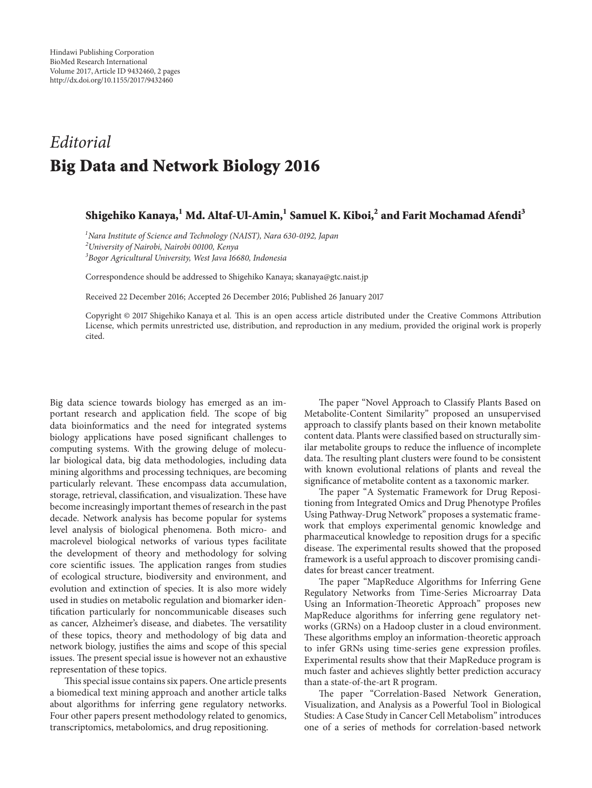## *Editorial* **Big Data and Network Biology 2016**

## **Shigehiko Kanaya,1 Md. Altaf-Ul-Amin,<sup>1</sup> Samuel K. Kiboi,2 and Farit Mochamad Afendi<sup>3</sup>**

*1 Nara Institute of Science and Technology (NAIST), Nara 630-0192, Japan 2 University of Nairobi, Nairobi 00100, Kenya 3 Bogor Agricultural University, West Java 16680, Indonesia*

Correspondence should be addressed to Shigehiko Kanaya; skanaya@gtc.naist.jp

Received 22 December 2016; Accepted 26 December 2016; Published 26 January 2017

Copyright © 2017 Shigehiko Kanaya et al. This is an open access article distributed under the Creative Commons Attribution License, which permits unrestricted use, distribution, and reproduction in any medium, provided the original work is properly cited.

Big data science towards biology has emerged as an important research and application field. The scope of big data bioinformatics and the need for integrated systems biology applications have posed significant challenges to computing systems. With the growing deluge of molecular biological data, big data methodologies, including data mining algorithms and processing techniques, are becoming particularly relevant. These encompass data accumulation, storage, retrieval, classification, and visualization. These have become increasingly important themes of research in the past decade. Network analysis has become popular for systems level analysis of biological phenomena. Both micro- and macrolevel biological networks of various types facilitate the development of theory and methodology for solving core scientific issues. The application ranges from studies of ecological structure, biodiversity and environment, and evolution and extinction of species. It is also more widely used in studies on metabolic regulation and biomarker identification particularly for noncommunicable diseases such as cancer, Alzheimer's disease, and diabetes. The versatility of these topics, theory and methodology of big data and network biology, justifies the aims and scope of this special issues. The present special issue is however not an exhaustive representation of these topics.

This special issue contains six papers. One article presents a biomedical text mining approach and another article talks about algorithms for inferring gene regulatory networks. Four other papers present methodology related to genomics, transcriptomics, metabolomics, and drug repositioning.

The paper "Novel Approach to Classify Plants Based on Metabolite-Content Similarity" proposed an unsupervised approach to classify plants based on their known metabolite content data. Plants were classified based on structurally similar metabolite groups to reduce the influence of incomplete data. The resulting plant clusters were found to be consistent with known evolutional relations of plants and reveal the significance of metabolite content as a taxonomic marker.

The paper "A Systematic Framework for Drug Repositioning from Integrated Omics and Drug Phenotype Profiles Using Pathway-Drug Network" proposes a systematic framework that employs experimental genomic knowledge and pharmaceutical knowledge to reposition drugs for a specific disease. The experimental results showed that the proposed framework is a useful approach to discover promising candidates for breast cancer treatment.

The paper "MapReduce Algorithms for Inferring Gene Regulatory Networks from Time-Series Microarray Data Using an Information-Theoretic Approach" proposes new MapReduce algorithms for inferring gene regulatory networks (GRNs) on a Hadoop cluster in a cloud environment. These algorithms employ an information-theoretic approach to infer GRNs using time-series gene expression profiles. Experimental results show that their MapReduce program is much faster and achieves slightly better prediction accuracy than a state-of-the-art R program.

The paper "Correlation-Based Network Generation, Visualization, and Analysis as a Powerful Tool in Biological Studies: A Case Study in Cancer Cell Metabolism" introduces one of a series of methods for correlation-based network